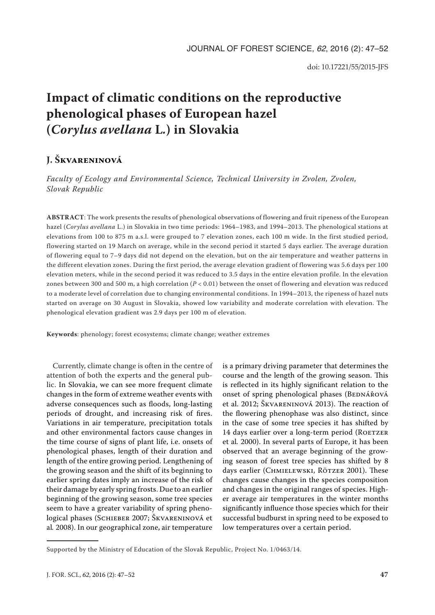# **Impact of climatic conditions on the reproductive phenological phases of European hazel (***Corylus avellana* **L***.***) in Slovakia**

# **J. Škvareninová**

*Faculty of Ecology and Environmental Science, Technical University in Zvolen, Zvolen, Slovak Republic*

**ABSTRACT**: The work presents the results of phenological observations of flowering and fruit ripeness of the European hazel (*Corylus avellana* L.) in Slovakia in two time periods: 1964–1983, and 1994–2013. The phenological stations at elevations from 100 to 875 m a.s.l. were grouped to 7 elevation zones, each 100 m wide. In the first studied period, flowering started on 19 March on average, while in the second period it started 5 days earlier. The average duration of flowering equal to 7–9 days did not depend on the elevation, but on the air temperature and weather patterns in the different elevation zones. During the first period, the average elevation gradient of flowering was 5.6 days per 100 elevation meters, while in the second period it was reduced to 3.5 days in the entire elevation profile. In the elevation zones between 300 and 500 m, a high correlation (*P* < 0.01) between the onset of flowering and elevation was reduced to a moderate level of correlation due to changing environmental conditions. In 1994–2013, the ripeness of hazel nuts started on average on 30 August in Slovakia, showed low variability and moderate correlation with elevation. The phenological elevation gradient was 2.9 days per 100 m of elevation.

**Keywords**: phenology; forest ecosystems; climate change; weather extremes

Currently, climate change is often in the centre of attention of both the experts and the general public. In Slovakia, we can see more frequent climate changes in the form of extreme weather events with adverse consequences such as floods, long-lasting periods of drought, and increasing risk of fires. Variations in air temperature, precipitation totals and other environmental factors cause changes in the time course of signs of plant life, i.e. onsets of phenological phases, length of their duration and length of the entire growing period. Lengthening of the growing season and the shift of its beginning to earlier spring dates imply an increase of the risk of their damage by early spring frosts. Due to an earlier beginning of the growing season, some tree species seem to have a greater variability of spring phenological phases (Schieber 2007; Škvareninová et al*.* 2008). In our geographical zone, air temperature

is a primary driving parameter that determines the course and the length of the growing season. This is reflected in its highly significant relation to the onset of spring phenological phases (BEDNÁŘOVÁ et al. 2012; Škvareninová 2013). The reaction of the flowering phenophase was also distinct, since in the case of some tree species it has shifted by 14 days earlier over a long-term period (ROETZER et al*.* 2000). In several parts of Europe, it has been observed that an average beginning of the growing season of forest tree species has shifted by 8 days earlier (Chmielewski, Rötzer 2001). These changes cause changes in the species composition and changes in the original ranges of species. Higher average air temperatures in the winter months significantly influence those species which for their successful budburst in spring need to be exposed to low temperatures over a certain period.

Supported by the Ministry of Education of the Slovak Republic, Project No. 1/0463/14.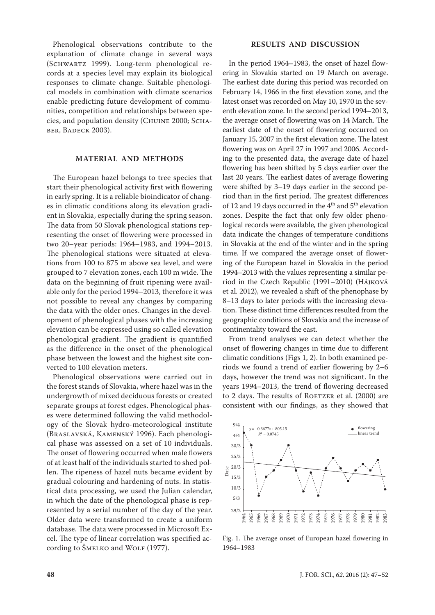Phenological observations contribute to the explanation of climate change in several ways (Schwartz 1999). Long-term phenological records at a species level may explain its biological responses to climate change. Suitable phenological models in combination with climate scenarios enable predicting future development of communities, competition and relationships between species, and population density (Chuine 2000; Schaber, Badeck 2003).

### **MATERIAL AND METHODS**

The European hazel belongs to tree species that start their phenological activity first with flowering in early spring. It is a reliable bioindicator of changes in climatic conditions along its elevation gradient in Slovakia, especially during the spring season. The data from 50 Slovak phenological stations representing the onset of flowering were processed in two 20–year periods: 1964–1983, and 1994–2013. The phenological stations were situated at elevations from 100 to 875 m above sea level, and were grouped to 7 elevation zones, each 100 m wide. The data on the beginning of fruit ripening were available only for the period 1994–2013, therefore it was not possible to reveal any changes by comparing the data with the older ones. Changes in the development of phenological phases with the increasing elevation can be expressed using so called elevation phenological gradient. The gradient is quantified as the difference in the onset of the phenological phase between the lowest and the highest site converted to 100 elevation meters.

Phenological observations were carried out in the forest stands of Slovakia, where hazel was in the undergrowth of mixed deciduous forests or created separate groups at forest edges. Phenological phases were determined following the valid methodology of the Slovak hydro-meteorological institute (Braslavská, Kamenský 1996). Each phenological phase was assessed on a set of 10 individuals. The onset of flowering occurred when male flowers of at least half of the individuals started to shed pollen. The ripeness of hazel nuts became evident by gradual colouring and hardening of nuts. In statistical data processing, we used the Julian calendar, in which the date of the phenological phase is represented by a serial number of the day of the year. Older data were transformed to create a uniform database. The data were processed in Microsoft Excel. The type of linear correlation was specified according to ŠMELKO and WOLF (1977).

## **RESULTS AND DISCUSSION**

In the period 1964–1983, the onset of hazel flowering in Slovakia started on 19 March on average. The earliest date during this period was recorded on February 14, 1966 in the first elevation zone, and the latest onset was recorded on May 10, 1970 in the seventh elevation zone. In the second period 1994–2013, the average onset of flowering was on 14 March. The earliest date of the onset of flowering occurred on January 15, 2007 in the first elevation zone. The latest flowering was on April 27 in 1997 and 2006. According to the presented data, the average date of hazel flowering has been shifted by 5 days earlier over the last 20 years. The earliest dates of average flowering were shifted by 3–19 days earlier in the second period than in the first period. The greatest differences of 12 and 19 days occurred in the  $4<sup>th</sup>$  and  $5<sup>th</sup>$  elevation zones. Despite the fact that only few older phenological records were available, the given phenological data indicate the changes of temperature conditions in Slovakia at the end of the winter and in the spring time. If we compared the average onset of flowering of the European hazel in Slovakia in the period 1994–2013 with the values representing a similar period in the Czech Republic (1991–2010) (Hájková et al. 2012), we revealed a shift of the phenophase by 8–13 days to later periods with the increasing elevation. These distinct time differences resulted from the geographic conditions of Slovakia and the increase of continentality toward the east.

From trend analyses we can detect whether the onset of flowering changes in time due to different climatic conditions (Figs 1, 2). In both examined periods we found a trend of earlier flowering by 2–6 days, however the trend was not significant. In the years 1994–2013, the trend of flowering decreased to 2 days. The results of ROETZER et al. (2000) are consistent with our findings, as they showed that



Fig. 1. The average onset of European hazel flowering in 1964–1983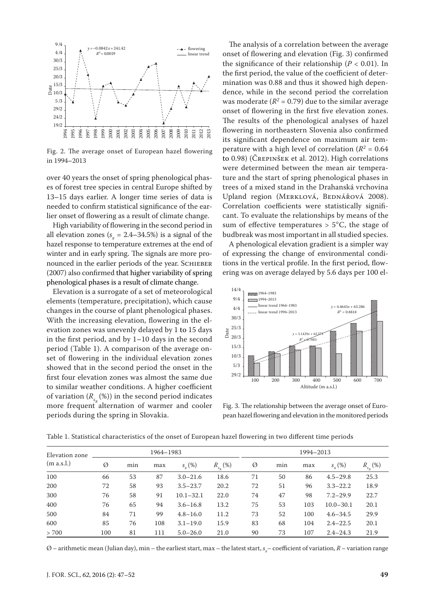

Fig. 2. The average onset of European hazel flowering in 1994–2013

over 40 years the onset of spring phenological phases of forest tree species in central Europe shifted by 13–15 days earlier. A longer time series of data is needed to confirm statistical significance of the earlier onset of flowering as a result of climate change.

High variability of flowering in the second period in all elevation zones  $(s_x = 2.4 - 34.5\%)$  is a signal of the hazel response to temperature extremes at the end of winter and in early spring. The signals are more pronounced in the earlier periods of the year. SCHIEBER (2007) also confirmed that higher variability of spring phenological phases is a result of climate change.

Elevation is a surrogate of a set of meteorological elements (temperature, precipitation), which cause changes in the course of plant phenological phases. With the increasing elevation, flowering in the elevation zones was unevenly delayed by 1 to 15 days in the first period, and by 1–10 days in the second period (Table 1). A comparison of the average onset of flowering in the individual elevation zones showed that in the second period the onset in the first four elevation zones was almost the same due to similar weather conditions. A higher coefficient of variation  $(R_{s_x}(\%))$  in the second period indicates more frequent alternation of warmer and cooler periods during the spring in Slovakia.

The analysis of a correlation between the average onset of flowering and elevation (Fig. 3) confirmed the significance of their relationship ( $P < 0.01$ ). In the first period, the value of the coefficient of determination was 0.88 and thus it showed high dependence, while in the second period the correlation was moderate  $(R^2 = 0.79)$  due to the similar average onset of flowering in the first five elevation zones. The results of the phenological analyses of hazel flowering in northeastern Slovenia also confirmed its significant dependence on maximum air temperature with a high level of correlation  $(R^2 = 0.64$ to 0.98) (Črepinšek et al. 2012). High correlations were determined between the mean air temperature and the start of spring phenological phases in trees of a mixed stand in the Drahanská vrchovina Upland region (MERKLOVÁ, BEDNÁŘOVÁ 2008). Correlation coefficients were statistically significant. To evaluate the relationships by means of the sum of effective temperatures  $> 5^{\circ}C$ , the stage of budbreak was most important in all studied species.

A phenological elevation gradient is a simpler way of expressing the change of environmental conditions in the vertical profile. In the first period, flowering was on average delayed by 5.6 days per 100 el-



Fig. 3. The relationship between the average onset of European hazel flowering and elevation in the monitored periods

| Table 1. Statistical characteristics of the onset of European hazel flowering in two different time periods |  |  |  |
|-------------------------------------------------------------------------------------------------------------|--|--|--|
|-------------------------------------------------------------------------------------------------------------|--|--|--|

| Elevation zone<br>(m a.s.l.) | 1964-1983 |     |     |               | 1994–2013            |    |     |     |               |                |
|------------------------------|-----------|-----|-----|---------------|----------------------|----|-----|-----|---------------|----------------|
|                              | Ø         | min | max | $s_{r}(\%)$   | $R_{s_{\infty}}(\%)$ | Ø  | min | max | $s_{r}(\%)$   | $R_{s_{x}}(%)$ |
| 100                          | 66        | 53  | 87  | $3.0 - 21.6$  | 18.6                 | 71 | 50  | 86  | $4.5 - 29.8$  | 25.3           |
| 200                          | 72        | 58  | 93  | $3.5 - 23.7$  | 20.2                 | 72 | 51  | 96  | $3.3 - 22.2$  | 18.9           |
| 300                          | 76        | 58  | 91  | $10.1 - 32.1$ | 22.0                 | 74 | 47  | 98  | $7.2 - 29.9$  | 22.7           |
| 400                          | 76        | 65  | 94  | $3.6 - 16.8$  | 13.2                 | 75 | 53  | 103 | $10.0 - 30.1$ | 20.1           |
| 500                          | 84        | 71  | 99  | $4.8 - 16.0$  | 11.2                 | 73 | 52  | 100 | $4.6 - 34.5$  | 29.9           |
| 600                          | 85        | 76  | 108 | $3.1 - 19.0$  | 15.9                 | 83 | 68  | 104 | $2.4 - 22.5$  | 20.1           |
| > 700                        | 100       | 81  | 111 | $5.0 - 26.0$  | 21.0                 | 90 | 73  | 107 | $2.4 - 24.3$  | 21.9           |

 $\oslash$  – arithmetic mean (Julian day), min – the earliest start, max – the latest start,  $s_{x}$ – coefficient of variation,  $R$  – variation range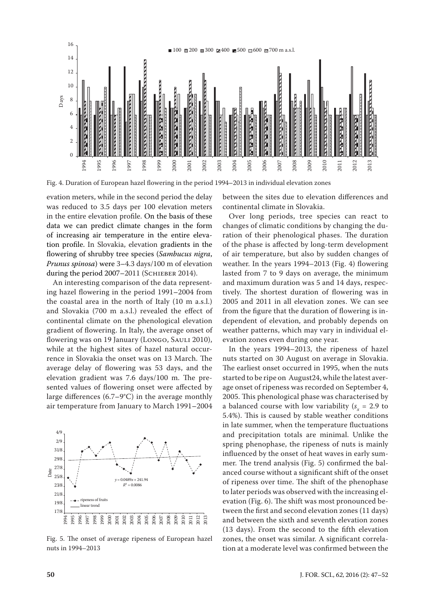

Fig. 4. Duration of European hazel flowering in the period 1994–2013 in individual elevation zones

evation meters, while in the second period the delay was reduced to 3.5 days per 100 elevation meters in the entire elevation profile. On the basis of these data we can predict climate changes in the form of increasing air temperature in the entire elevation profile. In Slovakia, elevation gradients in the flowering of shrubby tree species (*Sambucus nigra*, *Prunus spinosa*) were 3–4.3 days/100 m of elevation during the period 2007-2011 (SCHIEBER 2014).

An interesting comparison of the data representing hazel flowering in the period 1991–2004 from the coastal area in the north of Italy (10 m a.s.l.) and Slovakia (700 m a.s.l.) revealed the effect of continental climate on the phenological elevation gradient of flowering. In Italy, the average onset of flowering was on 19 January (Longo, SAULI 2010), while at the highest sites of hazel natural occurrence in Slovakia the onset was on 13 March. The average delay of flowering was 53 days, and the elevation gradient was 7.6 days/100 m. The presented values of flowering onset were affected by large differences (6.7–9°C) in the average monthly air temperature from January to March 1991–2004



Fig. 5. The onset of average ripeness of European hazel nuts in 1994–2013

between the sites due to elevation differences and continental climate in Slovakia.

Over long periods, tree species can react to changes of climatic conditions by changing the duration of their phenological phases. The duration of the phase is affected by long-term development of air temperature, but also by sudden changes of weather. In the years 1994–2013 (Fig. 4) flowering lasted from 7 to 9 days on average, the minimum and maximum duration was 5 and 14 days, respectively. The shortest duration of flowering was in 2005 and 2011 in all elevation zones. We can see from the figure that the duration of flowering is independent of elevation, and probably depends on weather patterns, which may vary in individual elevation zones even during one year.

In the years 1994–2013, the ripeness of hazel nuts started on 30 August on average in Slovakia. The earliest onset occurred in 1995, when the nuts started to be ripe on August24, while the latest average onset of ripeness was recorded on September 4, 2005. This phenological phase was characterised by a balanced course with low variability  $(s_x = 2.9 \text{ to }$ 5.4%). This is caused by stable weather conditions in late summer, when the temperature fluctuations and precipitation totals are minimal. Unlike the spring phenophase, the ripeness of nuts is mainly influenced by the onset of heat waves in early summer. The trend analysis (Fig. 5) confirmed the balanced course without a significant shift of the onset of ripeness over time. The shift of the phenophase to later periods was observed with the increasing elevation (Fig. 6). The shift was most pronounced between the first and second elevation zones (11 days) and between the sixth and seventh elevation zones (13 days). From the second to the fifth elevation zones, the onset was similar. A significant correlation at a moderate level was confirmed between the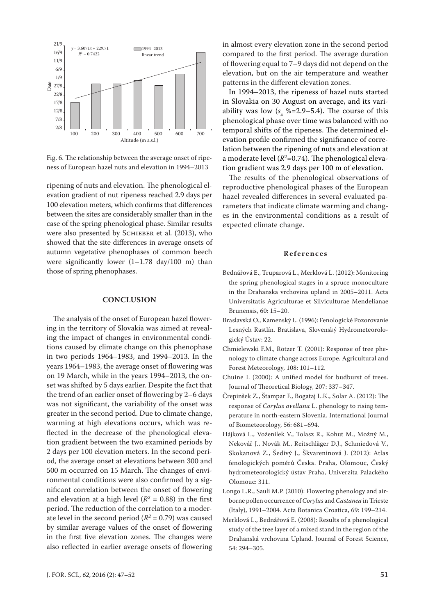

Fig. 6. The relationship between the average onset of ripeness of European hazel nuts and elevation in 1994–2013

ripening of nuts and elevation. The phenological elevation gradient of nut ripeness reached 2.9 days per 100 elevation meters, which confirms that differences between the sites are considerably smaller than in the case of the spring phenological phase. Similar results were also presented by SCHIEBER et al. (2013), who showed that the site differences in average onsets of autumn vegetative phenophases of common beech were significantly lower  $(1-1.78 \text{ day}/100 \text{ m})$  than those of spring phenophases.

### **CONCLUSION**

The analysis of the onset of European hazel flowering in the territory of Slovakia was aimed at revealing the impact of changes in environmental conditions caused by climate change on this phenophase in two periods 1964–1983, and 1994–2013. In the years 1964–1983, the average onset of flowering was on 19 March, while in the years 1994–2013, the onset was shifted by 5 days earlier. Despite the fact that the trend of an earlier onset of flowering by 2–6 days was not significant, the variability of the onset was greater in the second period. Due to climate change, warming at high elevations occurs, which was reflected in the decrease of the phenological elevation gradient between the two examined periods by 2 days per 100 elevation meters. In the second period, the average onset at elevations between 300 and 500 m occurred on 15 March. The changes of environmental conditions were also confirmed by a significant correlation between the onset of flowering and elevation at a high level  $(R^2 = 0.88)$  in the first period. The reduction of the correlation to a moderate level in the second period  $(R^2 = 0.79)$  was caused by similar average values of the onset of flowering in the first five elevation zones. The changes were also reflected in earlier average onsets of flowering

in almost every elevation zone in the second period compared to the first period. The average duration of flowering equal to 7–9 days did not depend on the elevation, but on the air temperature and weather patterns in the different elevation zones.

In 1994–2013, the ripeness of hazel nuts started in Slovakia on 30 August on average, and its variability was low  $(s_x \, %=2.9-5.4)$ . The course of this phenological phase over time was balanced with no temporal shifts of the ripeness. The determined elevation profile confirmed the significance of correlation between the ripening of nuts and elevation at a moderate level  $(R^2=0.74)$ . The phenological elevation gradient was 2.9 days per 100 m of elevation.

The results of the phenological observations of reproductive phenological phases of the European hazel revealed differences in several evaluated parameters that indicate climate warming and changes in the environmental conditions as a result of expected climate change.

#### **References**

- Bednářová E., Truparová L., Merklová L. (2012): Monitoring the spring phenological stages in a spruce monoculture in the Drahanska vrchovina upland in 2005–2011. Acta Universitatis Agriculturae et Silviculturae Mendelianae Brunensis, 60: 15–20.
- Braslavská O., Kamenský L. (1996): Fenologické Pozorovanie Lesných Rastlín. Bratislava, Slovenský Hydrometeorologický Ústav: 22.
- Chmielewski F.M., Rötzer T. (2001): Response of tree phenology to climate change across Europe. Agricultural and Forest Meteorology, 108: 101–112.
- Chuine I. (2000): A unified model for budburst of trees. Journal of Theoretical Biology, 207: 337–347.
- Črepinšek Z., Štampar F., Bogataj L.K., Solar A. (2012): The response of *Corylus avellana* L. phenology to rising temperature in north-eastern Slovenia. International Journal of Biometeorology, 56: 681–694.
- Hájková L., Voženílek V., Tolasz R., Kohut M., Možný M., Nekovář J., Novák M., Reitschläger D.J., Schmiedová V., Skokanová Z., Šedivý J., Škvareninová J. (2012): Atlas fenologických poměrů Česka. Praha, Olomouc, Český hydrometeorologický ústav Praha, Univerzita Palackého Olomouc: 311.
- Longo L.R., Sauli M.P. (2010): Flowering phenology and airborne pollen occurrence of *Corylus* and *Castanea* in Trieste (Italy), 1991–2004. Acta Botanica Croatica, 69: 199–214.
- Merklová L., Bednářová E. (2008): Results of a phenological study of the tree layer of a mixed stand in the region of the Drahanská vrchovina Upland. Journal of Forest Science, 54: 294–305.